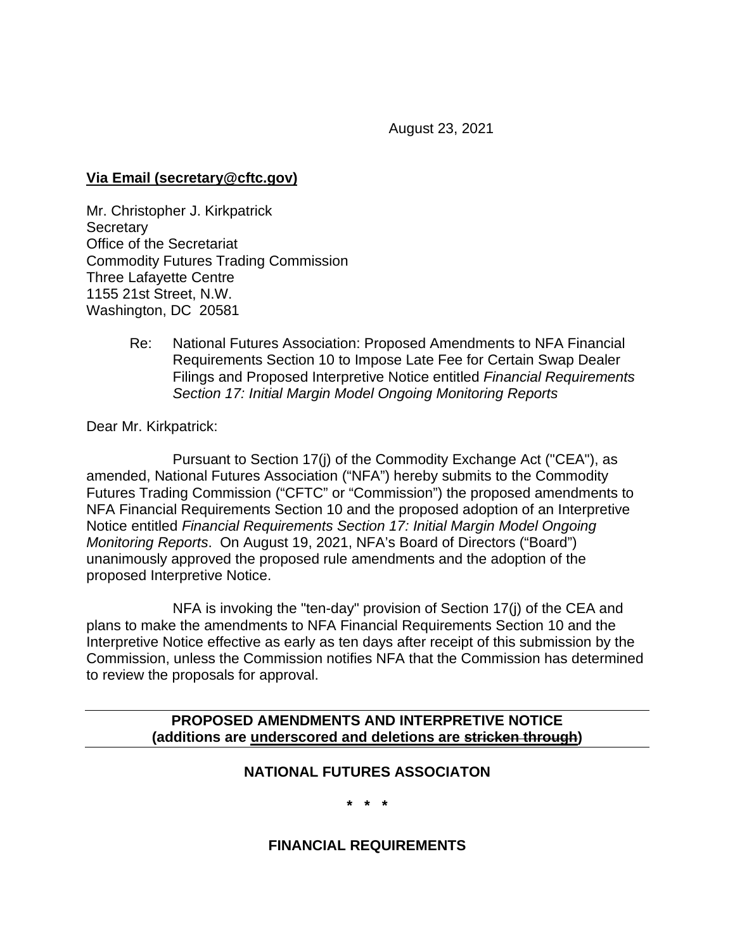August 23, 2021

### **Via Email (secretary@cftc.gov)**

Mr. Christopher J. Kirkpatrick **Secretary** Office of the Secretariat Commodity Futures Trading Commission Three Lafayette Centre 1155 21st Street, N.W. Washington, DC 20581

> Re: National Futures Association: Proposed Amendments to NFA Financial Requirements Section 10 to Impose Late Fee for Certain Swap Dealer Filings and Proposed Interpretive Notice entitled *Financial Requirements Section 17: Initial Margin Model Ongoing Monitoring Reports*

Dear Mr. Kirkpatrick:

Pursuant to Section 17(j) of the Commodity Exchange Act ("CEA"), as amended, National Futures Association ("NFA") hereby submits to the Commodity Futures Trading Commission ("CFTC" or "Commission") the proposed amendments to NFA Financial Requirements Section 10 and the proposed adoption of an Interpretive Notice entitled *Financial Requirements Section 17: Initial Margin Model Ongoing Monitoring Reports*. On August 19, 2021, NFA's Board of Directors ("Board") unanimously approved the proposed rule amendments and the adoption of the proposed Interpretive Notice.

NFA is invoking the "ten-day" provision of Section 17(j) of the CEA and plans to make the amendments to NFA Financial Requirements Section 10 and the Interpretive Notice effective as early as ten days after receipt of this submission by the Commission, unless the Commission notifies NFA that the Commission has determined to review the proposals for approval.

#### **PROPOSED AMENDMENTS AND INTERPRETIVE NOTICE (additions are underscored and deletions are stricken through)**

### **NATIONAL FUTURES ASSOCIATON**

**\* \* \***

### **FINANCIAL REQUIREMENTS**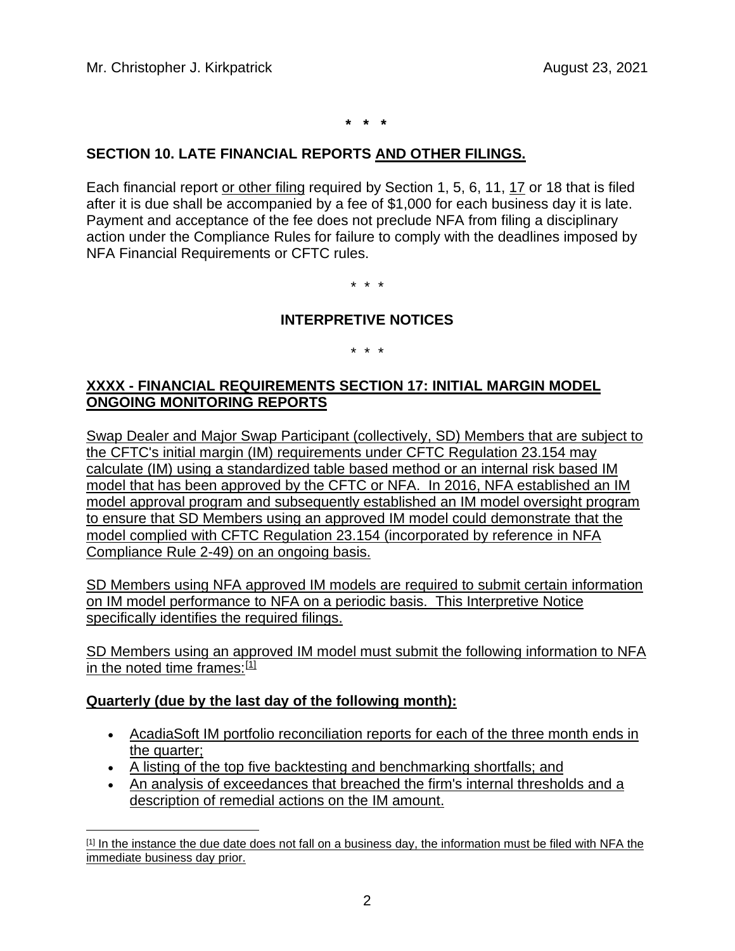**\* \* \***

### **SECTION 10. LATE FINANCIAL REPORTS AND OTHER FILINGS.**

Each financial report or other filing required by Section 1, 5, 6, 11, 17 or 18 that is filed after it is due shall be accompanied by a fee of \$1,000 for each business day it is late. Payment and acceptance of the fee does not preclude NFA from filing a disciplinary action under the Compliance Rules for failure to comply with the deadlines imposed by NFA Financial Requirements or CFTC rules.

\* \* \*

#### **INTERPRETIVE NOTICES**

\* \* \*

## **XXXX - FINANCIAL REQUIREMENTS SECTION 17: INITIAL MARGIN MODEL ONGOING MONITORING REPORTS**

Swap Dealer and Major Swap Participant (collectively, SD) Members that are subject to the CFTC's initial margin (IM) requirements under CFTC Regulation 23.154 may calculate (IM) using a standardized table based method or an internal risk based IM model that has been approved by the CFTC or NFA. In 2016, NFA established an IM model approval program and subsequently established an IM model oversight program to ensure that SD Members using an approved IM model could demonstrate that the model complied with CFTC Regulation 23.154 (incorporated by reference in NFA Compliance Rule 2-49) on an ongoing basis.

SD Members using NFA approved IM models are required to submit certain information on IM model performance to NFA on a periodic basis. This Interpretive Notice specifically identifies the required filings.

SD Members using an approved IM model must submit the following information to NFA in the noted time frames:[\[1\]](#page-1-0)

#### **Quarterly (due by the last day of the following month):**

- AcadiaSoft IM portfolio reconciliation reports for each of the three month ends in the quarter;
- A listing of the top five backtesting and benchmarking shortfalls; and
- An analysis of exceedances that breached the firm's internal thresholds and a description of remedial actions on the IM amount.

<span id="page-1-0"></span><sup>[1]</sup> In the instance the due date does not fall on a business day, the information must be filed with NFA the immediate business day prior.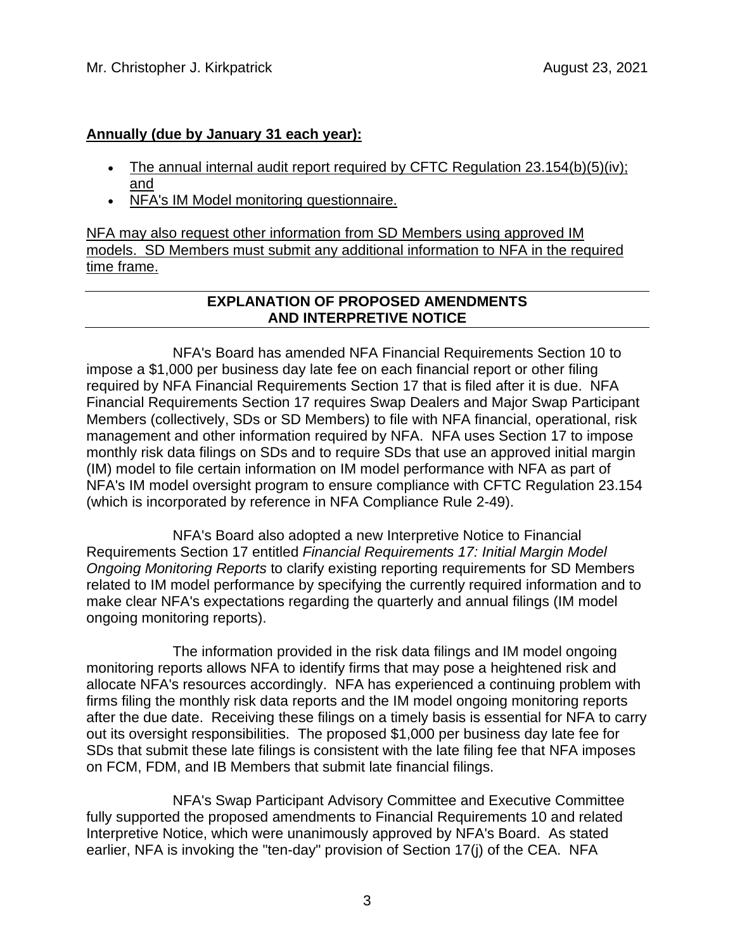## **Annually (due by January 31 each year):**

- The annual internal audit report required by CFTC Regulation 23.154(b)(5)(iv); and
- NFA's IM Model monitoring questionnaire.

NFA may also request other information from SD Members using approved IM models. SD Members must submit any additional information to NFA in the required time frame.

# **EXPLANATION OF PROPOSED AMENDMENTS AND INTERPRETIVE NOTICE**

NFA's Board has amended NFA Financial Requirements Section 10 to impose a \$1,000 per business day late fee on each financial report or other filing required by NFA Financial Requirements Section 17 that is filed after it is due. NFA Financial Requirements Section 17 requires Swap Dealers and Major Swap Participant Members (collectively, SDs or SD Members) to file with NFA financial, operational, risk management and other information required by NFA. NFA uses Section 17 to impose monthly risk data filings on SDs and to require SDs that use an approved initial margin (IM) model to file certain information on IM model performance with NFA as part of NFA's IM model oversight program to ensure compliance with CFTC Regulation 23.154 (which is incorporated by reference in NFA Compliance Rule 2-49).

NFA's Board also adopted a new Interpretive Notice to Financial Requirements Section 17 entitled *Financial Requirements 17: Initial Margin Model Ongoing Monitoring Reports* to clarify existing reporting requirements for SD Members related to IM model performance by specifying the currently required information and to make clear NFA's expectations regarding the quarterly and annual filings (IM model ongoing monitoring reports).

The information provided in the risk data filings and IM model ongoing monitoring reports allows NFA to identify firms that may pose a heightened risk and allocate NFA's resources accordingly. NFA has experienced a continuing problem with firms filing the monthly risk data reports and the IM model ongoing monitoring reports after the due date. Receiving these filings on a timely basis is essential for NFA to carry out its oversight responsibilities. The proposed \$1,000 per business day late fee for SDs that submit these late filings is consistent with the late filing fee that NFA imposes on FCM, FDM, and IB Members that submit late financial filings.

NFA's Swap Participant Advisory Committee and Executive Committee fully supported the proposed amendments to Financial Requirements 10 and related Interpretive Notice, which were unanimously approved by NFA's Board. As stated earlier, NFA is invoking the "ten-day" provision of Section 17(j) of the CEA. NFA